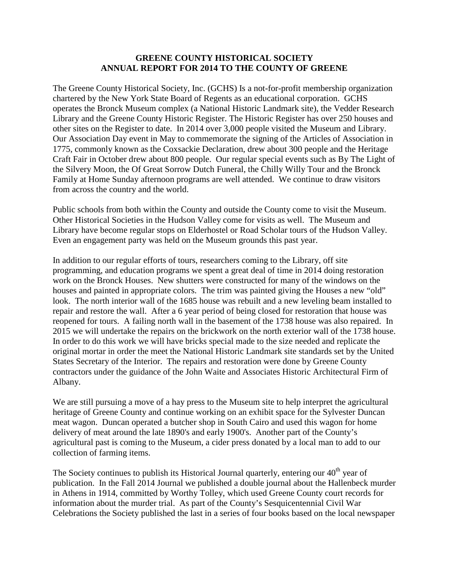## **GREENE COUNTY HISTORICAL SOCIETY ANNUAL REPORT FOR 2014 TO THE COUNTY OF GREENE**

The Greene County Historical Society, Inc. (GCHS) Is a not-for-profit membership organization chartered by the New York State Board of Regents as an educational corporation. GCHS operates the Bronck Museum complex (a National Historic Landmark site), the Vedder Research Library and the Greene County Historic Register. The Historic Register has over 250 houses and other sites on the Register to date. In 2014 over 3,000 people visited the Museum and Library. Our Association Day event in May to commemorate the signing of the Articles of Association in 1775, commonly known as the Coxsackie Declaration, drew about 300 people and the Heritage Craft Fair in October drew about 800 people. Our regular special events such as By The Light of the Silvery Moon, the Of Great Sorrow Dutch Funeral, the Chilly Willy Tour and the Bronck Family at Home Sunday afternoon programs are well attended. We continue to draw visitors from across the country and the world.

Public schools from both within the County and outside the County come to visit the Museum. Other Historical Societies in the Hudson Valley come for visits as well. The Museum and Library have become regular stops on Elderhostel or Road Scholar tours of the Hudson Valley. Even an engagement party was held on the Museum grounds this past year.

In addition to our regular efforts of tours, researchers coming to the Library, off site programming, and education programs we spent a great deal of time in 2014 doing restoration work on the Bronck Houses. New shutters were constructed for many of the windows on the houses and painted in appropriate colors. The trim was painted giving the Houses a new "old" look. The north interior wall of the 1685 house was rebuilt and a new leveling beam installed to repair and restore the wall. After a 6 year period of being closed for restoration that house was reopened for tours. A failing north wall in the basement of the 1738 house was also repaired. In 2015 we will undertake the repairs on the brickwork on the north exterior wall of the 1738 house. In order to do this work we will have bricks special made to the size needed and replicate the original mortar in order the meet the National Historic Landmark site standards set by the United States Secretary of the Interior. The repairs and restoration were done by Greene County contractors under the guidance of the John Waite and Associates Historic Architectural Firm of Albany.

We are still pursuing a move of a hay press to the Museum site to help interpret the agricultural heritage of Greene County and continue working on an exhibit space for the Sylvester Duncan meat wagon. Duncan operated a butcher shop in South Cairo and used this wagon for home delivery of meat around the late 1890's and early 1900's. Another part of the County's agricultural past is coming to the Museum, a cider press donated by a local man to add to our collection of farming items.

The Society continues to publish its Historical Journal quarterly, entering our  $40<sup>th</sup>$  year of publication. In the Fall 2014 Journal we published a double journal about the Hallenbeck murder in Athens in 1914, committed by Worthy Tolley, which used Greene County court records for information about the murder trial. As part of the County's Sesquicentennial Civil War Celebrations the Society published the last in a series of four books based on the local newspaper